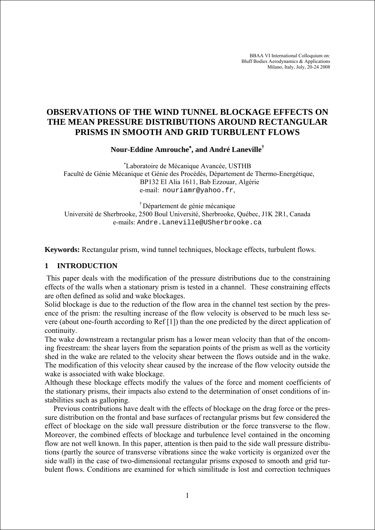BBAA VI International Colloquium on: Bluff Bodies Aerodynamics & Applications Milano, Italy, July, 20-24 2008

# **OBSERVATIONS OF THE WIND TUNNEL BLOCKAGE EFFECTS ON THE MEAN PRESSURE DISTRIBUTIONS AROUND RECTANGULAR PRISMS IN SMOOTH AND GRID TURBULENT FLOWS**

**Nour-Eddine Amrouche**<sup>∗</sup> **, and André Laneville†**

∗ Laboratoire de Mécanique Avancée, USTHB Faculté de Génie Mécanique et Génie des Procédés, Département de Thermo-Energétique, BP132 El Alia 1611, Bab Ezzouar, Algérie e-mail: nouriamr@yahoo.fr,

† Département de génie mécanique Université de Sherbrooke, 2500 Boul Université, Sherbrooke, Québec, J1K 2R1, Canada e-mails: Andre.Laneville@USherbrooke.ca

**Keywords:** Rectangular prism, wind tunnel techniques, blockage effects, turbulent flows.

# **1 INTRODUCTION**

 This paper deals with the modification of the pressure distributions due to the constraining effects of the walls when a stationary prism is tested in a channel. These constraining effects are often defined as solid and wake blockages.

Solid blockage is due to the reduction of the flow area in the channel test section by the presence of the prism: the resulting increase of the flow velocity is observed to be much less severe (about one-fourth according to Ref [1]) than the one predicted by the direct application of continuity.

The wake downstream a rectangular prism has a lower mean velocity than that of the oncoming freestream: the shear layers from the separation points of the prism as well as the vorticity shed in the wake are related to the velocity shear between the flows outside and in the wake. The modification of this velocity shear caused by the increase of the flow velocity outside the wake is associated with wake blockage.

Although these blockage effects modify the values of the force and moment coefficients of the stationary prisms, their impacts also extend to the determination of onset conditions of instabilities such as galloping.

Previous contributions have dealt with the effects of blockage on the drag force or the pressure distribution on the frontal and base surfaces of rectangular prisms but few considered the effect of blockage on the side wall pressure distribution or the force transverse to the flow. Moreover, the combined effects of blockage and turbulence level contained in the oncoming flow are not well known. In this paper, attention is then paid to the side wall pressure distributions (partly the source of transverse vibrations since the wake vorticity is organized over the side wall) in the case of two-dimensional rectangular prisms exposed to smooth and grid turbulent flows. Conditions are examined for which similitude is lost and correction techniques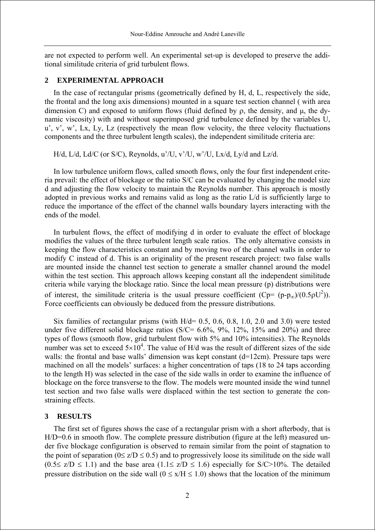are not expected to perform well. An experimental set-up is developed to preserve the additional similitude criteria of grid turbulent flows.

### **2 EXPERIMENTAL APPROACH**

In the case of rectangular prisms (geometrically defined by H, d, L, respectively the side, the frontal and the long axis dimensions) mounted in a square test section channel ( with area dimension C) and exposed to uniform flows (fluid defined by ρ, the density, and μ, the dynamic viscosity) with and without superimposed grid turbulence defined by the variables U,  $u'$ , v', w', Lx, Ly, Lz (respectively the mean flow velocity, the three velocity fluctuations components and the three turbulent length scales), the independent similitude criteria are:

H/d, L/d, Ld/C (or S/C), Reynolds, u'/U, v'/U, w'/U, Lx/d, Ly/d and Lz/d.

In low turbulence uniform flows, called smooth flows, only the four first independent criteria prevail: the effect of blockage or the ratio S/C can be evaluated by changing the model size d and adjusting the flow velocity to maintain the Reynolds number. This approach is mostly adopted in previous works and remains valid as long as the ratio L/d is sufficiently large to reduce the importance of the effect of the channel walls boundary layers interacting with the ends of the model.

In turbulent flows, the effect of modifying d in order to evaluate the effect of blockage modifies the values of the three turbulent length scale ratios. The only alternative consists in keeping the flow characteristics constant and by moving two of the channel walls in order to modify C instead of d. This is an originality of the present research project: two false walls are mounted inside the channel test section to generate a smaller channel around the model within the test section. This approach allows keeping constant all the independent similitude criteria while varying the blockage ratio. Since the local mean pressure (p) distributions were of interest, the similitude criteria is the usual pressure coefficient (Cp=  $(p-p_{\infty})/(0.5\rho U^2)$ ). Force coefficients can obviously be deduced from the pressure distributions.

Six families of rectangular prisms (with  $H/d = 0.5, 0.6, 0.8, 1.0, 2.0$  and 3.0) were tested under five different solid blockage ratios ( $S/C = 6.6\%$ ,  $9\%$ ,  $12\%$ ,  $15\%$  and  $20\%$ ) and three types of flows (smooth flow, grid turbulent flow with 5% and 10% intensities). The Reynolds number was set to exceed  $5\times10^4$ . The value of H/d was the result of different sizes of the side walls: the frontal and base walls' dimension was kept constant (d=12cm). Pressure taps were machined on all the models' surfaces: a higher concentration of taps (18 to 24 taps according to the length H) was selected in the case of the side walls in order to examine the influence of blockage on the force transverse to the flow. The models were mounted inside the wind tunnel test section and two false walls were displaced within the test section to generate the constraining effects.

#### **3 RESULTS**

The first set of figures shows the case of a rectangular prism with a short afterbody, that is H/D=0.6 in smooth flow. The complete pressure distribution (figure at the left) measured under five blockage configuration is observed to remain similar from the point of stagnation to the point of separation ( $0 \le z/D \le 0.5$ ) and to progressively loose its similitude on the side wall  $(0.5 \le z/D \le 1.1)$  and the base area  $(1.1 \le z/D \le 1.6)$  especially for S/C>10%. The detailed pressure distribution on the side wall ( $0 \le x/H \le 1.0$ ) shows that the location of the minimum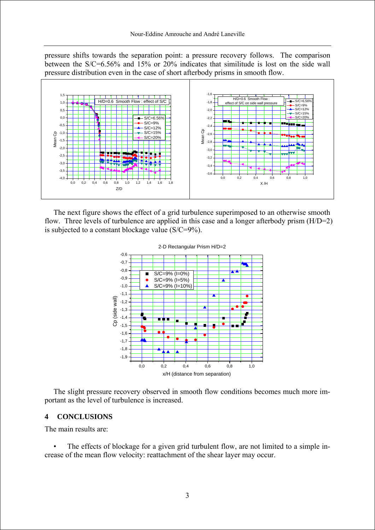pressure shifts towards the separation point: a pressure recovery follows. The comparison between the S/C=6.56% and 15% or 20% indicates that similitude is lost on the side wall pressure distribution even in the case of short afterbody prisms in smooth flow.



The next figure shows the effect of a grid turbulence superimposed to an otherwise smooth flow. Three levels of turbulence are applied in this case and a longer afterbody prism (H/D=2) is subjected to a constant blockage value (S/C=9%).



The slight pressure recovery observed in smooth flow conditions becomes much more important as the level of turbulence is increased.

#### **4 CONCLUSIONS**

The main results are:

The effects of blockage for a given grid turbulent flow, are not limited to a simple increase of the mean flow velocity: reattachment of the shear layer may occur.